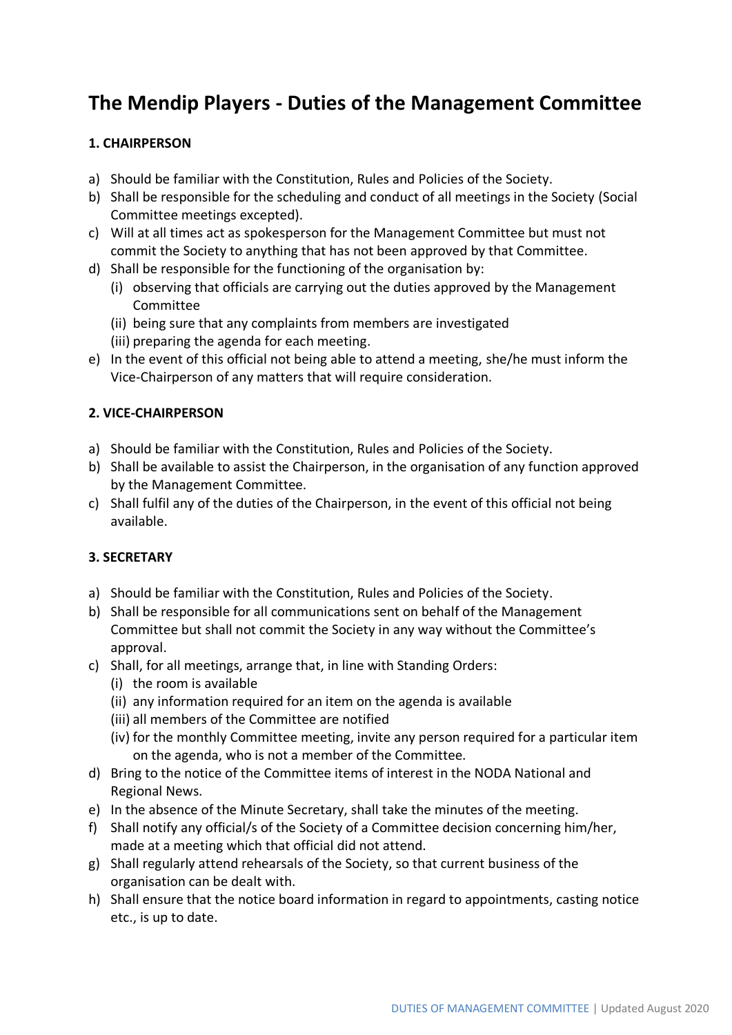# **The Mendip Players - Duties of the Management Committee**

## **1. CHAIRPERSON**

- a) Should be familiar with the Constitution, Rules and Policies of the Society.
- b) Shall be responsible for the scheduling and conduct of all meetings in the Society (Social Committee meetings excepted).
- c) Will at all times act as spokesperson for the Management Committee but must not commit the Society to anything that has not been approved by that Committee.
- d) Shall be responsible for the functioning of the organisation by:
	- (i) observing that officials are carrying out the duties approved by the Management Committee
	- (ii) being sure that any complaints from members are investigated
	- (iii) preparing the agenda for each meeting.
- e) In the event of this official not being able to attend a meeting, she/he must inform the Vice-Chairperson of any matters that will require consideration.

#### **2. VICE-CHAIRPERSON**

- a) Should be familiar with the Constitution, Rules and Policies of the Society.
- b) Shall be available to assist the Chairperson, in the organisation of any function approved by the Management Committee.
- c) Shall fulfil any of the duties of the Chairperson, in the event of this official not being available.

## **3. SECRETARY**

- a) Should be familiar with the Constitution, Rules and Policies of the Society.
- b) Shall be responsible for all communications sent on behalf of the Management Committee but shall not commit the Society in any way without the Committee's approval.
- c) Shall, for all meetings, arrange that, in line with Standing Orders:
	- (i) the room is available
	- (ii) any information required for an item on the agenda is available
	- (iii) all members of the Committee are notified
	- (iv) for the monthly Committee meeting, invite any person required for a particular item on the agenda, who is not a member of the Committee.
- d) Bring to the notice of the Committee items of interest in the NODA National and Regional News.
- e) In the absence of the Minute Secretary, shall take the minutes of the meeting.
- f) Shall notify any official/s of the Society of a Committee decision concerning him/her, made at a meeting which that official did not attend.
- g) Shall regularly attend rehearsals of the Society, so that current business of the organisation can be dealt with.
- h) Shall ensure that the notice board information in regard to appointments, casting notice etc., is up to date.